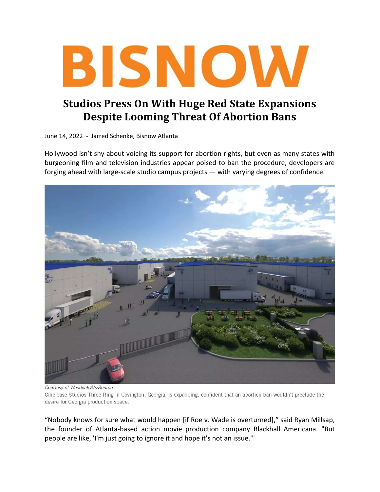

## Studios Press On With Huge Red State Expansions Despite Looming Threat Of Abortion Bans

June 14, 2022 - Jarred Schenke, Bisnow Atlanta

Hollywood isn't shy about voicing its support for abortion rights, but even as many states with burgeoning film and television industries appear poised to ban the procedure, developers are forging ahead with large-scale studio campus projects — with varying degrees of confidence.



Courtesy of Woodvale/VizSource

Cinelease Studios-Three Ring in Covington, Georgia, is expanding, confident that an abortion ban wouldn't preclude the desire for Georgia production space.

"Nobody knows for sure what would happen [if Roe v. Wade is overturned]," said Ryan Millsap, the founder of Atlanta-based action movie production company Blackhall Americana. "But people are like, 'I'm just going to ignore it and hope it's not an issue.'"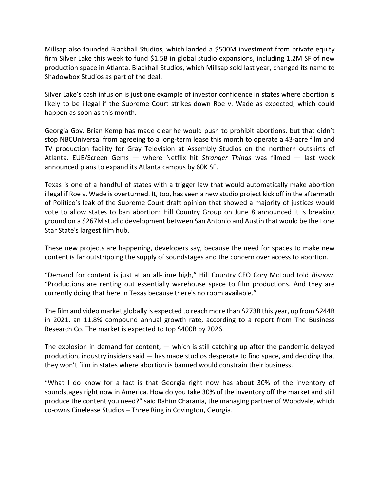Millsap also founded Blackhall Studios, which landed a \$500M investment from private equity firm Silver Lake this week to fund \$1.5B in global studio expansions, including 1.2M SF of new production space in Atlanta. Blackhall Studios, which Millsap sold last year, changed its name to Shadowbox Studios as part of the deal.

Silver Lake's cash infusion is just one example of investor confidence in states where abortion is likely to be illegal if the Supreme Court strikes down Roe v. Wade as expected, which could happen as soon as this month.

Georgia Gov. Brian Kemp has made clear he would push to prohibit abortions, but that didn't stop NBCUniversal from agreeing to a long-term lease this month to operate a 43-acre film and TV production facility for Gray Television at Assembly Studios on the northern outskirts of Atlanta. EUE/Screen Gems — where Netflix hit Stranger Things was filmed — last week announced plans to expand its Atlanta campus by 60K SF.

Texas is one of a handful of states with a trigger law that would automatically make abortion illegal if Roe v. Wade is overturned. It, too, has seen a new studio project kick off in the aftermath of Politico's leak of the Supreme Court draft opinion that showed a majority of justices would vote to allow states to ban abortion: Hill Country Group on June 8 announced it is breaking ground on a \$267M studio development between San Antonio and Austin that would be the Lone Star State's largest film hub.

These new projects are happening, developers say, because the need for spaces to make new content is far outstripping the supply of soundstages and the concern over access to abortion.

"Demand for content is just at an all-time high," Hill Country CEO Cory McLoud told Bisnow. "Productions are renting out essentially warehouse space to film productions. And they are currently doing that here in Texas because there's no room available."

The film and video market globally is expected to reach more than \$273B this year, up from \$244B in 2021, an 11.8% compound annual growth rate, according to a report from The Business Research Co. The market is expected to top \$400B by 2026.

The explosion in demand for content,  $-$  which is still catching up after the pandemic delayed production, industry insiders said — has made studios desperate to find space, and deciding that they won't film in states where abortion is banned would constrain their business.

"What I do know for a fact is that Georgia right now has about 30% of the inventory of soundstages right now in America. How do you take 30% of the inventory off the market and still produce the content you need?" said Rahim Charania, the managing partner of Woodvale, which co-owns Cinelease Studios – Three Ring in Covington, Georgia.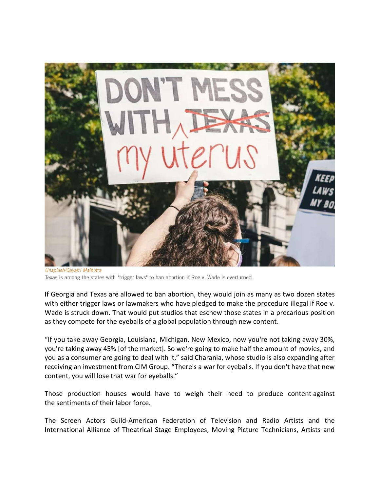

Unsplash/Gayatri Malhotra Texas is among the states with "trigger laws" to ban abortion if Roe v. Wade is overturned.

If Georgia and Texas are allowed to ban abortion, they would join as many as two dozen states with either trigger laws or lawmakers who have pledged to make the procedure illegal if Roe v. Wade is struck down. That would put studios that eschew those states in a precarious position as they compete for the eyeballs of a global population through new content.

"If you take away Georgia, Louisiana, Michigan, New Mexico, now you're not taking away 30%, you're taking away 45% [of the market]. So we're going to make half the amount of movies, and you as a consumer are going to deal with it," said Charania, whose studio is also expanding after receiving an investment from CIM Group. "There's a war for eyeballs. If you don't have that new content, you will lose that war for eyeballs."

Those production houses would have to weigh their need to produce content against the sentiments of their labor force.

The Screen Actors Guild-American Federation of Television and Radio Artists and the International Alliance of Theatrical Stage Employees, Moving Picture Technicians, Artists and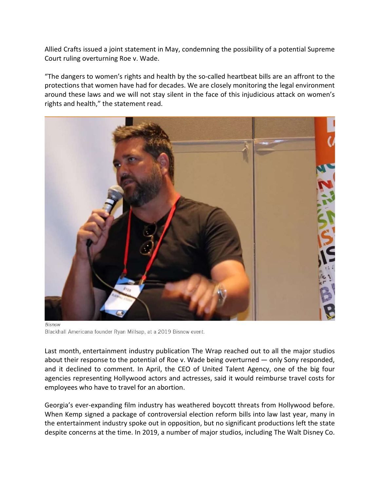Allied Crafts issued a joint statement in May, condemning the possibility of a potential Supreme Court ruling overturning Roe v. Wade.

"The dangers to women's rights and health by the so-called heartbeat bills are an affront to the protections that women have had for decades. We are closely monitoring the legal environment around these laws and we will not stay silent in the face of this injudicious attack on women's rights and health," the statement read.



**Bisnow** Blackhall Americana founder Ryan Millsap, at a 2019 Bisnow event.

Last month, entertainment industry publication The Wrap reached out to all the major studios about their response to the potential of Roe v. Wade being overturned — only Sony responded, and it declined to comment. In April, the CEO of United Talent Agency, one of the big four agencies representing Hollywood actors and actresses, said it would reimburse travel costs for employees who have to travel for an abortion.

Georgia's ever-expanding film industry has weathered boycott threats from Hollywood before. When Kemp signed a package of controversial election reform bills into law last year, many in the entertainment industry spoke out in opposition, but no significant productions left the state despite concerns at the time. In 2019, a number of major studios, including The Walt Disney Co.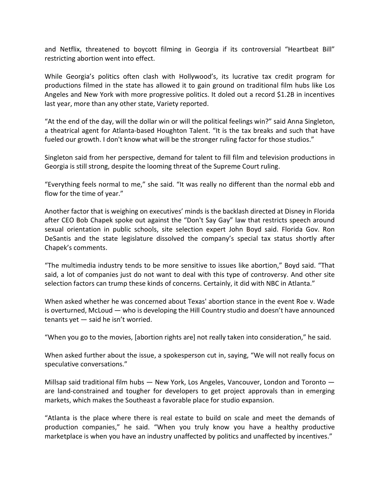and Netflix, threatened to boycott filming in Georgia if its controversial "Heartbeat Bill" restricting abortion went into effect.

While Georgia's politics often clash with Hollywood's, its lucrative tax credit program for productions filmed in the state has allowed it to gain ground on traditional film hubs like Los Angeles and New York with more progressive politics. It doled out a record \$1.2B in incentives last year, more than any other state, Variety reported.

"At the end of the day, will the dollar win or will the political feelings win?" said Anna Singleton, a theatrical agent for Atlanta-based Houghton Talent. "It is the tax breaks and such that have fueled our growth. I don't know what will be the stronger ruling factor for those studios."

Singleton said from her perspective, demand for talent to fill film and television productions in Georgia is still strong, despite the looming threat of the Supreme Court ruling.

"Everything feels normal to me," she said. "It was really no different than the normal ebb and flow for the time of year."

Another factor that is weighing on executives' minds is the backlash directed at Disney in Florida after CEO Bob Chapek spoke out against the "Don't Say Gay" law that restricts speech around sexual orientation in public schools, site selection expert John Boyd said. Florida Gov. Ron DeSantis and the state legislature dissolved the company's special tax status shortly after Chapek's comments.

"The multimedia industry tends to be more sensitive to issues like abortion," Boyd said. "That said, a lot of companies just do not want to deal with this type of controversy. And other site selection factors can trump these kinds of concerns. Certainly, it did with NBC in Atlanta."

When asked whether he was concerned about Texas' abortion stance in the event Roe v. Wade is overturned, McLoud — who is developing the Hill Country studio and doesn't have announced tenants yet — said he isn't worried.

"When you go to the movies, [abortion rights are] not really taken into consideration," he said.

When asked further about the issue, a spokesperson cut in, saying, "We will not really focus on speculative conversations."

Millsap said traditional film hubs — New York, Los Angeles, Vancouver, London and Toronto are land-constrained and tougher for developers to get project approvals than in emerging markets, which makes the Southeast a favorable place for studio expansion.

"Atlanta is the place where there is real estate to build on scale and meet the demands of production companies," he said. "When you truly know you have a healthy productive marketplace is when you have an industry unaffected by politics and unaffected by incentives."